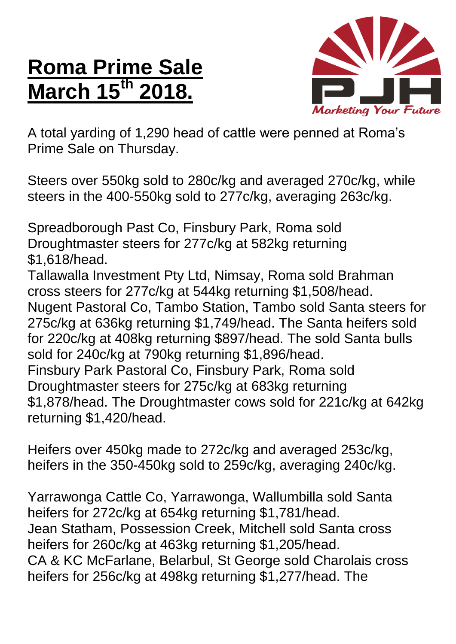## **Roma Prime Sale March** 15<sup>th</sup>



A total yarding of 1,290 head of cattle were penned at Roma's Prime Sale on Thursday.

Steers over 550kg sold to 280c/kg and averaged 270c/kg, while steers in the 400-550kg sold to 277c/kg, averaging 263c/kg.

Spreadborough Past Co, Finsbury Park, Roma sold Droughtmaster steers for 277c/kg at 582kg returning \$1,618/head.

Tallawalla Investment Pty Ltd, Nimsay, Roma sold Brahman cross steers for 277c/kg at 544kg returning \$1,508/head. Nugent Pastoral Co, Tambo Station, Tambo sold Santa steers for 275c/kg at 636kg returning \$1,749/head. The Santa heifers sold for 220c/kg at 408kg returning \$897/head. The sold Santa bulls sold for 240c/kg at 790kg returning \$1,896/head. Finsbury Park Pastoral Co, Finsbury Park, Roma sold Droughtmaster steers for 275c/kg at 683kg returning \$1,878/head. The Droughtmaster cows sold for 221c/kg at 642kg returning \$1,420/head.

Heifers over 450kg made to 272c/kg and averaged 253c/kg, heifers in the 350-450kg sold to 259c/kg, averaging 240c/kg.

Yarrawonga Cattle Co, Yarrawonga, Wallumbilla sold Santa heifers for 272c/kg at 654kg returning \$1,781/head. Jean Statham, Possession Creek, Mitchell sold Santa cross heifers for 260c/kg at 463kg returning \$1,205/head. CA & KC McFarlane, Belarbul, St George sold Charolais cross heifers for 256c/kg at 498kg returning \$1,277/head. The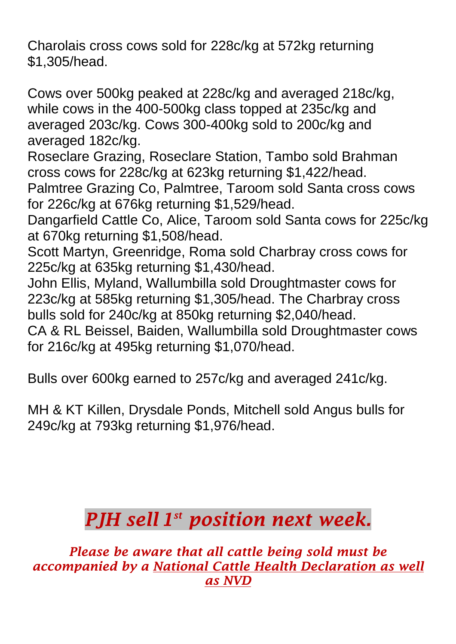Charolais cross cows sold for 228c/kg at 572kg returning \$1,305/head.

Cows over 500kg peaked at 228c/kg and averaged 218c/kg, while cows in the 400-500kg class topped at 235c/kg and averaged 203c/kg. Cows 300-400kg sold to 200c/kg and averaged 182c/kg.

Roseclare Grazing, Roseclare Station, Tambo sold Brahman cross cows for 228c/kg at 623kg returning \$1,422/head.

Palmtree Grazing Co, Palmtree, Taroom sold Santa cross cows for 226c/kg at 676kg returning \$1,529/head.

Dangarfield Cattle Co, Alice, Taroom sold Santa cows for 225c/kg at 670kg returning \$1,508/head.

Scott Martyn, Greenridge, Roma sold Charbray cross cows for 225c/kg at 635kg returning \$1,430/head.

John Ellis, Myland, Wallumbilla sold Droughtmaster cows for 223c/kg at 585kg returning \$1,305/head. The Charbray cross bulls sold for 240c/kg at 850kg returning \$2,040/head.

CA & RL Beissel, Baiden, Wallumbilla sold Droughtmaster cows for 216c/kg at 495kg returning \$1,070/head.

Bulls over 600kg earned to 257c/kg and averaged 241c/kg.

MH & KT Killen, Drysdale Ponds, Mitchell sold Angus bulls for 249c/kg at 793kg returning \$1,976/head.

## *PJH sell 1 st position next week.*

*Please be aware that all cattle being sold must be accompanied by a National Cattle Health Declaration as well as NVD*